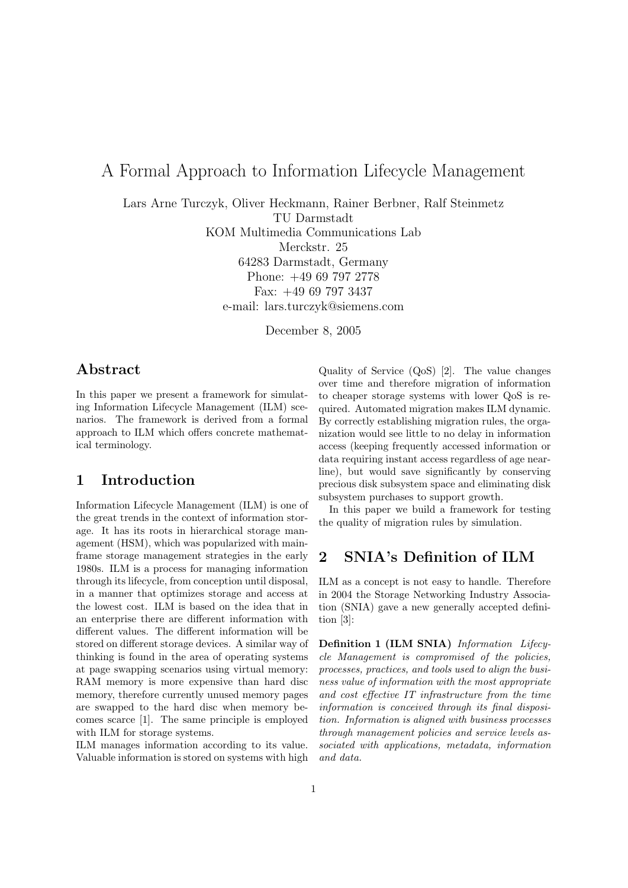# A Formal Approach to Information Lifecycle Management

Lars Arne Turczyk, Oliver Heckmann, Rainer Berbner, Ralf Steinmetz

TU Darmstadt

KOM Multimedia Communications Lab

Merckstr. 25

64283 Darmstadt, Germany Phone: +49 69 797 2778 Fax: +49 69 797 3437 e-mail: lars.turczyk@siemens.com

December 8, 2005

## Abstract

In this paper we present a framework for simulating Information Lifecycle Management (ILM) scenarios. The framework is derived from a formal approach to ILM which offers concrete mathematical terminology.

## 1 Introduction

Information Lifecycle Management (ILM) is one of the great trends in the context of information storage. It has its roots in hierarchical storage management (HSM), which was popularized with mainframe storage management strategies in the early 1980s. ILM is a process for managing information through its lifecycle, from conception until disposal, in a manner that optimizes storage and access at the lowest cost. ILM is based on the idea that in an enterprise there are different information with different values. The different information will be stored on different storage devices. A similar way of thinking is found in the area of operating systems at page swapping scenarios using virtual memory: RAM memory is more expensive than hard disc memory, therefore currently unused memory pages are swapped to the hard disc when memory becomes scarce [1]. The same principle is employed with ILM for storage systems.

ILM manages information according to its value. Valuable information is stored on systems with high Quality of Service (QoS) [2]. The value changes over time and therefore migration of information to cheaper storage systems with lower QoS is required. Automated migration makes ILM dynamic. By correctly establishing migration rules, the organization would see little to no delay in information access (keeping frequently accessed information or data requiring instant access regardless of age nearline), but would save significantly by conserving precious disk subsystem space and eliminating disk subsystem purchases to support growth.

In this paper we build a framework for testing the quality of migration rules by simulation.

## 2 SNIA's Definition of ILM

ILM as a concept is not easy to handle. Therefore in 2004 the Storage Networking Industry Association (SNIA) gave a new generally accepted definition [3]:

Definition 1 (ILM SNIA) Information Lifecycle Management is compromised of the policies, processes, practices, and tools used to align the business value of information with the most appropriate and cost effective IT infrastructure from the time information is conceived through its final disposition. Information is aligned with business processes through management policies and service levels associated with applications, metadata, information and data.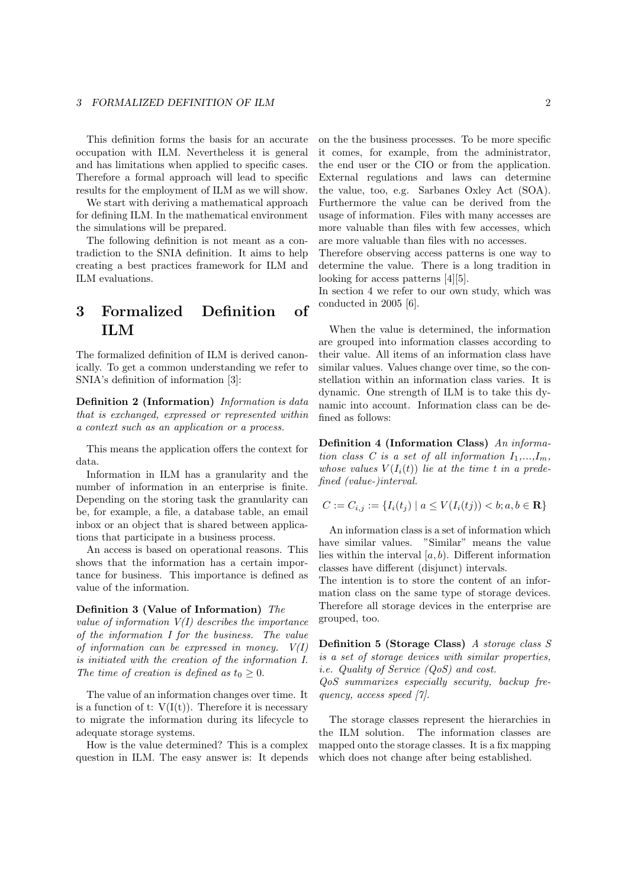This definition forms the basis for an accurate occupation with ILM. Nevertheless it is general and has limitations when applied to specific cases. Therefore a formal approach will lead to specific results for the employment of ILM as we will show.

We start with deriving a mathematical approach for defining ILM. In the mathematical environment the simulations will be prepared.

The following definition is not meant as a contradiction to the SNIA definition. It aims to help creating a best practices framework for ILM and ILM evaluations.

# 3 Formalized Definition of ILM

The formalized definition of ILM is derived canonically. To get a common understanding we refer to SNIA's definition of information [3]:

Definition 2 (Information) Information is data that is exchanged, expressed or represented within a context such as an application or a process.

This means the application offers the context for data.

Information in ILM has a granularity and the number of information in an enterprise is finite. Depending on the storing task the granularity can be, for example, a file, a database table, an email inbox or an object that is shared between applications that participate in a business process.

An access is based on operational reasons. This shows that the information has a certain importance for business. This importance is defined as value of the information.

#### Definition 3 (Value of Information) The

value of information  $V(I)$  describes the importance of the information I for the business. The value of information can be expressed in money.  $V(I)$ is initiated with the creation of the information I. The time of creation is defined as  $t_0 \geq 0$ .

The value of an information changes over time. It is a function of t:  $V(I(t))$ . Therefore it is necessary to migrate the information during its lifecycle to adequate storage systems.

How is the value determined? This is a complex question in ILM. The easy answer is: It depends on the the business processes. To be more specific it comes, for example, from the administrator, the end user or the CIO or from the application. External regulations and laws can determine the value, too, e.g. Sarbanes Oxley Act (SOA). Furthermore the value can be derived from the usage of information. Files with many accesses are more valuable than files with few accesses, which are more valuable than files with no accesses.

Therefore observing access patterns is one way to determine the value. There is a long tradition in looking for access patterns [4][5].

In section 4 we refer to our own study, which was conducted in 2005 [6].

When the value is determined, the information are grouped into information classes according to their value. All items of an information class have similar values. Values change over time, so the constellation within an information class varies. It is dynamic. One strength of ILM is to take this dynamic into account. Information class can be defined as follows:

Definition 4 (Information Class) An information class C is a set of all information  $I_1,...,I_m$ , whose values  $V(I_i(t))$  lie at the time t in a predefined (value-)interval.

$$
C := C_{i,j} := \{ I_i(t_j) \mid a \le V(I_i(tj)) < b; a, b \in \mathbf{R} \}
$$

An information class is a set of information which have similar values. "Similar" means the value lies within the interval  $[a, b)$ . Different information classes have different (disjunct) intervals.

The intention is to store the content of an information class on the same type of storage devices. Therefore all storage devices in the enterprise are grouped, too.

Definition 5 (Storage Class) A storage class S is a set of storage devices with similar properties, i.e. Quality of Service (QoS) and cost.

QoS summarizes especially security, backup frequency, access speed [7].

The storage classes represent the hierarchies in the ILM solution. The information classes are mapped onto the storage classes. It is a fix mapping which does not change after being established.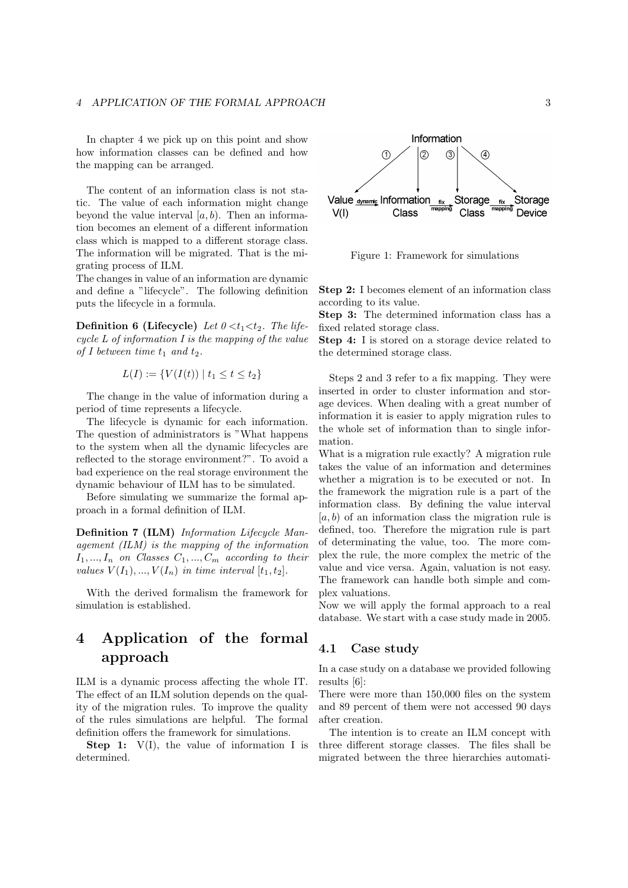In chapter 4 we pick up on this point and show how information classes can be defined and how the mapping can be arranged.

The content of an information class is not static. The value of each information might change beyond the value interval  $[a, b)$ . Then an information becomes an element of a different information class which is mapped to a different storage class. The information will be migrated. That is the migrating process of ILM.

The changes in value of an information are dynamic and define a "lifecycle". The following definition puts the lifecycle in a formula.

**Definition 6 (Lifecycle)** Let  $0 < t_1 < t_2$ . The lifecycle L of information I is the mapping of the value of I between time  $t_1$  and  $t_2$ .

$$
L(I) := \{ V(I(t)) \mid t_1 \le t \le t_2 \}
$$

The change in the value of information during a period of time represents a lifecycle.

The lifecycle is dynamic for each information. The question of administrators is "What happens to the system when all the dynamic lifecycles are reflected to the storage environment?". To avoid a bad experience on the real storage environment the dynamic behaviour of ILM has to be simulated.

Before simulating we summarize the formal approach in a formal definition of ILM.

Definition 7 (ILM) Information Lifecycle Management (ILM) is the mapping of the information  $I_1, ..., I_n$  on Classes  $C_1, ..., C_m$  according to their values  $V(I_1),...,V(I_n)$  in time interval  $[t_1,t_2]$ .

With the derived formalism the framework for simulation is established.

## 4 Application of the formal approach

ILM is a dynamic process affecting the whole IT. The effect of an ILM solution depends on the quality of the migration rules. To improve the quality of the rules simulations are helpful. The formal definition offers the framework for simulations.

**Step 1:**  $V(I)$ , the value of information I is determined.



Figure 1: Framework for simulations

Step 2: I becomes element of an information class according to its value.

Step 3: The determined information class has a fixed related storage class.

Step 4: I is stored on a storage device related to the determined storage class.

Steps 2 and 3 refer to a fix mapping. They were inserted in order to cluster information and storage devices. When dealing with a great number of information it is easier to apply migration rules to the whole set of information than to single information.

What is a migration rule exactly? A migration rule takes the value of an information and determines whether a migration is to be executed or not. In the framework the migration rule is a part of the information class. By defining the value interval  $[a, b]$  of an information class the migration rule is defined, too. Therefore the migration rule is part of determinating the value, too. The more complex the rule, the more complex the metric of the value and vice versa. Again, valuation is not easy. The framework can handle both simple and complex valuations.

Now we will apply the formal approach to a real database. We start with a case study made in 2005.

#### 4.1 Case study

In a case study on a database we provided following results [6]:

There were more than 150,000 files on the system and 89 percent of them were not accessed 90 days after creation.

The intention is to create an ILM concept with three different storage classes. The files shall be migrated between the three hierarchies automati-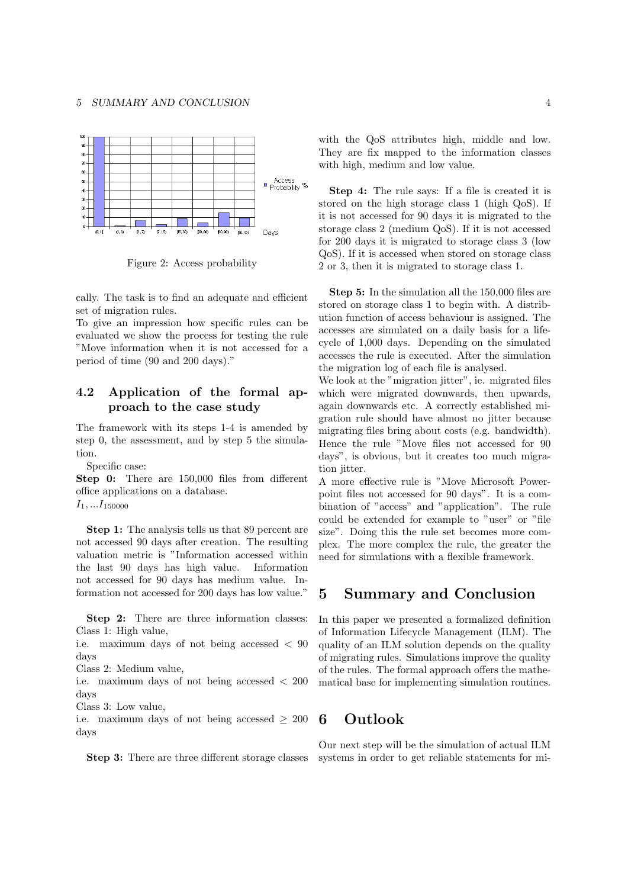

Figure 2: Access probability

cally. The task is to find an adequate and efficient set of migration rules.

To give an impression how specific rules can be evaluated we show the process for testing the rule "Move information when it is not accessed for a period of time (90 and 200 days)."

### 4.2 Application of the formal approach to the case study

The framework with its steps 1-4 is amended by step 0, the assessment, and by step 5 the simulation.

Specific case:

Step 0: There are 150,000 files from different office applications on a database.

 $I_1, \ldots I_{150000}$ 

Step 1: The analysis tells us that 89 percent are not accessed 90 days after creation. The resulting valuation metric is "Information accessed within the last 90 days has high value. Information not accessed for 90 days has medium value. Information not accessed for 200 days has low value."

Step 2: There are three information classes: Class 1: High value,

i.e. maximum days of not being accessed < 90 days

Class 2: Medium value,

i.e. maximum days of not being accessed < 200 days

Class 3: Low value,

i.e. maximum days of not being accessed  $\geq 200$ days

Step 3: There are three different storage classes

with the QoS attributes high, middle and low. They are fix mapped to the information classes with high, medium and low value.

Step 4: The rule says: If a file is created it is stored on the high storage class 1 (high QoS). If it is not accessed for 90 days it is migrated to the storage class 2 (medium QoS). If it is not accessed for 200 days it is migrated to storage class 3 (low QoS). If it is accessed when stored on storage class 2 or 3, then it is migrated to storage class 1.

Step 5: In the simulation all the 150,000 files are stored on storage class 1 to begin with. A distribution function of access behaviour is assigned. The accesses are simulated on a daily basis for a lifecycle of 1,000 days. Depending on the simulated accesses the rule is executed. After the simulation the migration log of each file is analysed.

We look at the "migration jitter", ie. migrated files which were migrated downwards, then upwards, again downwards etc. A correctly established migration rule should have almost no jitter because migrating files bring about costs (e.g. bandwidth). Hence the rule "Move files not accessed for 90 days", is obvious, but it creates too much migration *iitter*.

A more effective rule is "Move Microsoft Powerpoint files not accessed for 90 days". It is a combination of "access" and "application". The rule could be extended for example to "user" or "file size". Doing this the rule set becomes more complex. The more complex the rule, the greater the need for simulations with a flexible framework.

### 5 Summary and Conclusion

In this paper we presented a formalized definition of Information Lifecycle Management (ILM). The quality of an ILM solution depends on the quality of migrating rules. Simulations improve the quality of the rules. The formal approach offers the mathematical base for implementing simulation routines.

## 6 Outlook

Our next step will be the simulation of actual ILM systems in order to get reliable statements for mi-